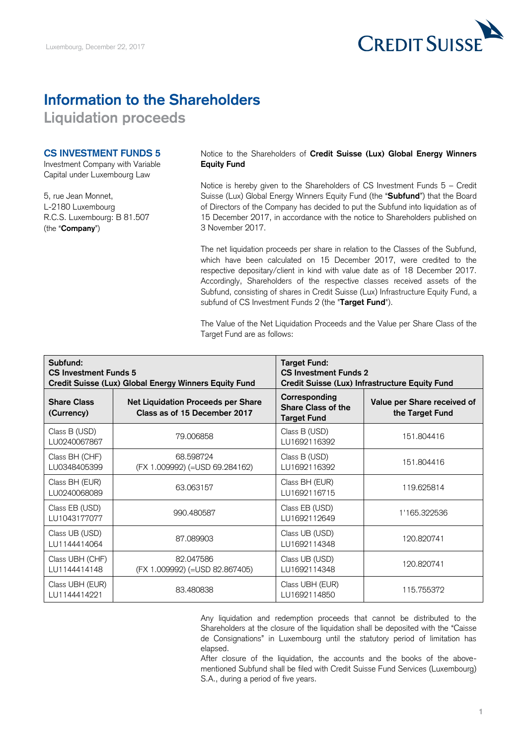

# **Information to the Shareholders**

**Liquidation proceeds** 

### **CS INVESTMENT FUNDS 5**

Investment Company with Variable Capital under Luxembourg Law

5, rue Jean Monnet, L-2180 Luxembourg R.C.S. Luxembourg: B 81.507 (the "**Company**")

### Notice to the Shareholders of **Credit Suisse (Lux) Global Energy Winners Equity Fund**

 Notice is hereby given to the Shareholders of CS Investment Funds 5 – Credit Suisse (Lux) Global Energy Winners Equity Fund (the "**Subfund**") that the Board of Directors of the Company has decided to put the Subfund into liquidation as of 15 December 2017, in accordance with the notice to Shareholders published on 3 November 2017.

 The net liquidation proceeds per share in relation to the Classes of the Subfund, which have been calculated on 15 December 2017, were credited to the respective depositary/client in kind with value date as of 18 December 2017. Accordingly, Shareholders of the respective classes received assets of the Subfund, consisting of shares in Credit Suisse (Lux) Infrastructure Equity Fund, a subfund of CS Investment Funds 2 (the "**Target Fund**").

 The Value of the Net Liquidation Proceeds and the Value per Share Class of the Target Fund are as follows:

| Subfund:<br><b>CS Investment Funds 5</b><br>Credit Suisse (Lux) Global Energy Winners Equity Fund |                                                                           | <b>Target Fund:</b><br><b>CS Investment Funds 2</b><br>Credit Suisse (Lux) Infrastructure Equity Fund |                                                |
|---------------------------------------------------------------------------------------------------|---------------------------------------------------------------------------|-------------------------------------------------------------------------------------------------------|------------------------------------------------|
| <b>Share Class</b><br>(Currency)                                                                  | <b>Net Liquidation Proceeds per Share</b><br>Class as of 15 December 2017 | Corresponding<br>Share Class of the<br><b>Target Fund</b>                                             | Value per Share received of<br>the Target Fund |
| Class B (USD)<br>LU0240067867                                                                     | 79.006858                                                                 | Class B (USD)<br>LU1692116392                                                                         | 151.804416                                     |
| Class BH (CHF)<br>LU0348405399                                                                    | 68.598724<br>(FX 1.009992) (=USD 69.284162)                               | Class B (USD)<br>LU1692116392                                                                         | 151.804416                                     |
| Class BH (EUR)<br>LU0240068089                                                                    | 63.063157                                                                 | Class BH (EUR)<br>LU1692116715                                                                        | 119.625814                                     |
| Class EB (USD)<br>LU1043177077                                                                    | 990.480587                                                                | Class EB (USD)<br>LU1692112649                                                                        | 1'165.322536                                   |
| Class UB (USD)<br>LU1144414064                                                                    | 87.089903                                                                 | Class UB (USD)<br>LU1692114348                                                                        | 120.820741                                     |
| Class UBH (CHF)<br>LU1144414148                                                                   | 82.047586<br>(FX 1.009992) (=USD 82.867405)                               | Class UB (USD)<br>LU1692114348                                                                        | 120.820741                                     |
| Class UBH (EUR)<br>LU1144414221                                                                   | 83.480838                                                                 | Class UBH (EUR)<br>LU1692114850                                                                       | 115.755372                                     |

 Any liquidation and redemption proceeds that cannot be distributed to the Shareholders at the closure of the liquidation shall be deposited with the "Caisse de Consignations" in Luxembourg until the statutory period of limitation has elapsed.

 After closure of the liquidation, the accounts and the books of the above- mentioned Subfund shall be filed with Credit Suisse Fund Services (Luxembourg) S.A., during a period of five years.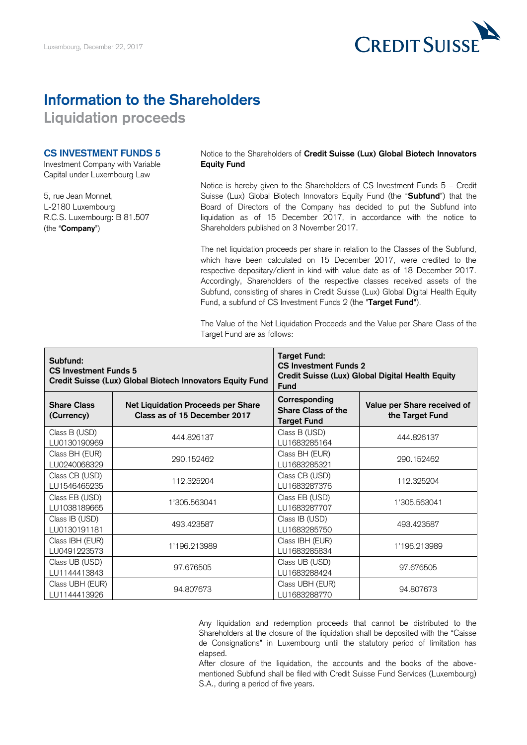

## **Information to the Shareholders**

**Liquidation proceeds** 

### **CS INVESTMENT FUNDS 5**

Investment Company with Variable Capital under Luxembourg Law

5, rue Jean Monnet, L-2180 Luxembourg R.C.S. Luxembourg: B 81.507 (the "**Company**")

Notice to the Shareholders of **Credit Suisse (Lux) Global Biotech Innovators Equity Fund** 

 Notice is hereby given to the Shareholders of CS Investment Funds 5 – Credit Suisse (Lux) Global Biotech Innovators Equity Fund (the "**Subfund**") that the Board of Directors of the Company has decided to put the Subfund into liquidation as of 15 December 2017, in accordance with the notice to Shareholders published on 3 November 2017.

 The net liquidation proceeds per share in relation to the Classes of the Subfund, which have been calculated on 15 December 2017, were credited to the respective depositary/client in kind with value date as of 18 December 2017. Accordingly, Shareholders of the respective classes received assets of the Subfund, consisting of shares in Credit Suisse (Lux) Global Digital Health Equity Fund, a subfund of CS Investment Funds 2 (the "**Target Fund**").

 The Value of the Net Liquidation Proceeds and the Value per Share Class of the Target Fund are as follows:

| Subfund:<br><b>CS Investment Funds 5</b><br>Credit Suisse (Lux) Global Biotech Innovators Equity Fund |                                                                    | <b>Target Fund:</b><br><b>CS Investment Funds 2</b><br>Credit Suisse (Lux) Global Digital Health Equity<br><b>Fund</b> |                                                |
|-------------------------------------------------------------------------------------------------------|--------------------------------------------------------------------|------------------------------------------------------------------------------------------------------------------------|------------------------------------------------|
| <b>Share Class</b><br>(Currency)                                                                      | Net Liquidation Proceeds per Share<br>Class as of 15 December 2017 | Corresponding<br><b>Share Class of the</b><br><b>Target Fund</b>                                                       | Value per Share received of<br>the Target Fund |
| Class B (USD)<br>LU0130190969                                                                         | 444.826137                                                         | Class B (USD)<br>LU1683285164                                                                                          | 444.826137                                     |
| Class BH (EUR)<br>LU0240068329                                                                        | 290.152462                                                         | Class BH (EUR)<br>LU1683285321                                                                                         | 290.152462                                     |
| Class CB (USD)<br>LU1546465235                                                                        | 112.325204                                                         | Class CB (USD)<br>LU1683287376                                                                                         | 112.325204                                     |
| Class EB (USD)<br>LU1038189665                                                                        | 1'305.563041                                                       | Class EB (USD)<br>LU1683287707                                                                                         | 1'305.563041                                   |
| Class IB (USD)<br>LU0130191181                                                                        | 493.423587                                                         | Class IB (USD)<br>LU1683285750                                                                                         | 493.423587                                     |
| Class IBH (EUR)<br>LU0491223573                                                                       | 1'196.213989                                                       | Class IBH (EUR)<br>LU1683285834                                                                                        | 1'196.213989                                   |
| Class UB (USD)<br>LU1144413843                                                                        | 97.676505                                                          | Class UB (USD)<br>LU1683288424                                                                                         | 97.676505                                      |
| Class UBH (EUR)<br>LU1144413926                                                                       | 94.807673                                                          | Class UBH (EUR)<br>LU1683288770                                                                                        | 94.807673                                      |

 Any liquidation and redemption proceeds that cannot be distributed to the Shareholders at the closure of the liquidation shall be deposited with the "Caisse de Consignations" in Luxembourg until the statutory period of limitation has elapsed.

elapsed.<br>After closure of the liquidation, the accounts and the books of the above- mentioned Subfund shall be filed with Credit Suisse Fund Services (Luxembourg) S.A., during a period of five years.